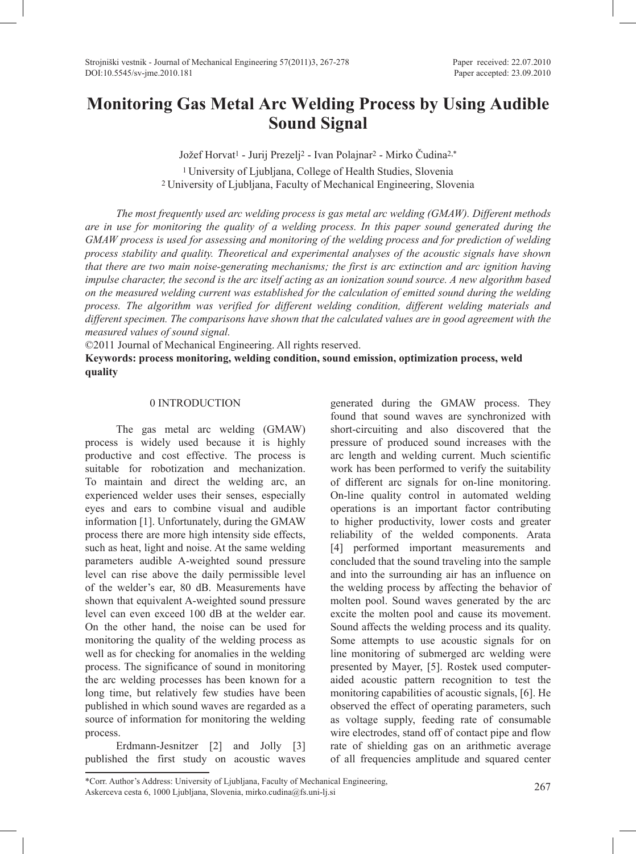# **Monitoring Gas Metal Arc Welding Process by Using Audible Sound Signal**

Jožef Horvat1 - Jurij Prezelj2 - Ivan Polajnar2 - Mirko Čudina2,\* 1 University of Ljubljana, College of Health Studies, Slovenia 2 University of Ljubljana, Faculty of Mechanical Engineering, Slovenia

*The most frequently used arc welding process is gas metal arc welding (GMAW). Different methods are in use for monitoring the quality of a welding process. In this paper sound generated during the GMAW process is used for assessing and monitoring of the welding process and for prediction of welding process stability and quality. Theoretical and experimental analyses of the acoustic signals have shown that there are two main noise-generating mechanisms; the first is arc extinction and arc ignition having impulse character, the second is the arc itself acting as an ionization sound source. A new algorithm based on the measured welding current was established for the calculation of emitted sound during the welding process. The algorithm was verified for different welding condition, different welding materials and different specimen. The comparisons have shown that the calculated values are in good agreement with the measured values of sound signal.*

©2011 Journal of Mechanical Engineering. All rights reserved.

**Keywords: process monitoring, welding condition, sound emission, optimization process, weld quality**

# 0 INTRODUCTION

The gas metal arc welding (GMAW) process is widely used because it is highly productive and cost effective. The process is suitable for robotization and mechanization. To maintain and direct the welding arc, an experienced welder uses their senses, especially eyes and ears to combine visual and audible information [1]. Unfortunately, during the GMAW process there are more high intensity side effects, such as heat, light and noise. At the same welding parameters audible A-weighted sound pressure level can rise above the daily permissible level of the welder's ear, 80 dB. Measurements have shown that equivalent A-weighted sound pressure level can even exceed 100 dB at the welder ear. On the other hand, the noise can be used for monitoring the quality of the welding process as well as for checking for anomalies in the welding process. The significance of sound in monitoring the arc welding processes has been known for a long time, but relatively few studies have been published in which sound waves are regarded as a source of information for monitoring the welding process.

Erdmann-Jesnitzer [2] and Jolly [3] published the first study on acoustic waves

generated during the GMAW process. They found that sound waves are synchronized with short-circuiting and also discovered that the pressure of produced sound increases with the arc length and welding current. Much scientific work has been performed to verify the suitability of different arc signals for on-line monitoring. On-line quality control in automated welding operations is an important factor contributing to higher productivity, lower costs and greater reliability of the welded components. Arata [4] performed important measurements and concluded that the sound traveling into the sample and into the surrounding air has an influence on the welding process by affecting the behavior of molten pool. Sound waves generated by the arc excite the molten pool and cause its movement. Sound affects the welding process and its quality. Some attempts to use acoustic signals for on line monitoring of submerged arc welding were presented by Mayer, [5]. Rostek used computeraided acoustic pattern recognition to test the monitoring capabilities of acoustic signals, [6]. He observed the effect of operating parameters, such as voltage supply, feeding rate of consumable wire electrodes, stand off of contact pipe and flow rate of shielding gas on an arithmetic average of all frequencies amplitude and squared center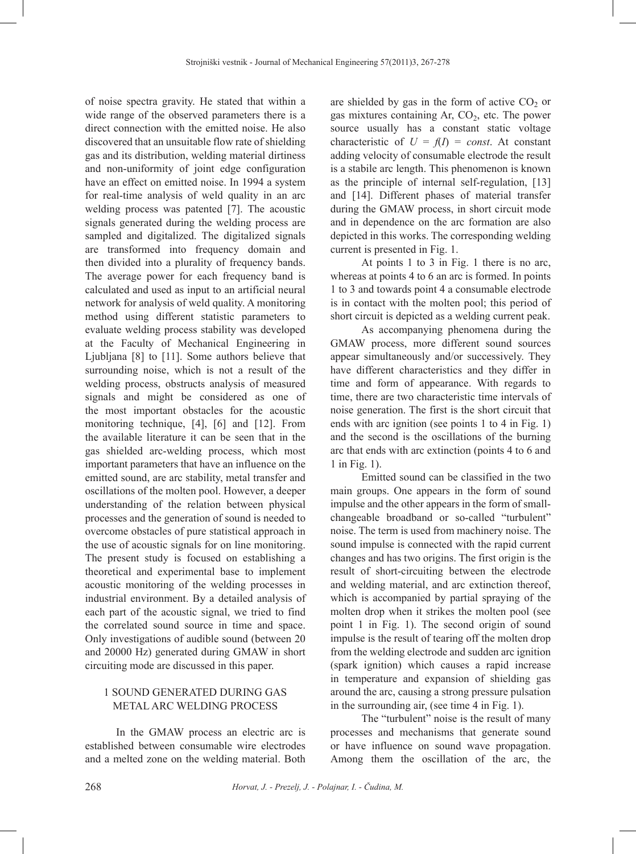of noise spectra gravity. He stated that within a wide range of the observed parameters there is a direct connection with the emitted noise. He also discovered that an unsuitable flow rate of shielding gas and its distribution, welding material dirtiness and non-uniformity of joint edge configuration have an effect on emitted noise. In 1994 a system for real-time analysis of weld quality in an arc welding process was patented [7]. The acoustic signals generated during the welding process are sampled and digitalized. The digitalized signals are transformed into frequency domain and then divided into a plurality of frequency bands. The average power for each frequency band is calculated and used as input to an artificial neural network for analysis of weld quality. A monitoring method using different statistic parameters to evaluate welding process stability was developed at the Faculty of Mechanical Engineering in Ljubljana [8] to [11]. Some authors believe that surrounding noise, which is not a result of the welding process, obstructs analysis of measured signals and might be considered as one of the most important obstacles for the acoustic monitoring technique, [4], [6] and [12]. From the available literature it can be seen that in the gas shielded arc-welding process, which most important parameters that have an influence on the emitted sound, are arc stability, metal transfer and oscillations of the molten pool. However, a deeper understanding of the relation between physical processes and the generation of sound is needed to overcome obstacles of pure statistical approach in the use of acoustic signals for on line monitoring. The present study is focused on establishing a theoretical and experimental base to implement acoustic monitoring of the welding processes in industrial environment. By a detailed analysis of each part of the acoustic signal, we tried to find the correlated sound source in time and space. Only investigations of audible sound (between 20 and 20000 Hz) generated during GMAW in short circuiting mode are discussed in this paper.

### 1 SOUND GENERATED DURING GAS METAL ARC WELDING PROCESS

In the GMAW process an electric arc is established between consumable wire electrodes and a melted zone on the welding material. Both

are shielded by gas in the form of active  $CO<sub>2</sub>$  or gas mixtures containing Ar,  $CO<sub>2</sub>$ , etc. The power source usually has a constant static voltage characteristic of  $U = f(I) = const.$  At constant adding velocity of consumable electrode the result is a stabile arc length. This phenomenon is known as the principle of internal self-regulation, [13] and [14]. Different phases of material transfer during the GMAW process, in short circuit mode and in dependence on the arc formation are also depicted in this works. The corresponding welding current is presented in Fig. 1.

At points 1 to 3 in Fig. 1 there is no arc, whereas at points 4 to 6 an arc is formed. In points 1 to 3 and towards point 4 a consumable electrode is in contact with the molten pool; this period of short circuit is depicted as a welding current peak.

As accompanying phenomena during the GMAW process, more different sound sources appear simultaneously and/or successively. They have different characteristics and they differ in time and form of appearance. With regards to time, there are two characteristic time intervals of noise generation. The first is the short circuit that ends with arc ignition (see points 1 to 4 in Fig. 1) and the second is the oscillations of the burning arc that ends with arc extinction (points 4 to 6 and 1 in Fig. 1).

Emitted sound can be classified in the two main groups. One appears in the form of sound impulse and the other appears in the form of smallchangeable broadband or so-called "turbulent" noise. The term is used from machinery noise. The sound impulse is connected with the rapid current changes and has two origins. The first origin is the result of short-circuiting between the electrode and welding material, and arc extinction thereof, which is accompanied by partial spraying of the molten drop when it strikes the molten pool (see point 1 in Fig. 1). The second origin of sound impulse is the result of tearing off the molten drop from the welding electrode and sudden arc ignition (spark ignition) which causes a rapid increase in temperature and expansion of shielding gas around the arc, causing a strong pressure pulsation in the surrounding air, (see time 4 in Fig. 1).

The "turbulent" noise is the result of many processes and mechanisms that generate sound or have influence on sound wave propagation. Among them the oscillation of the arc, the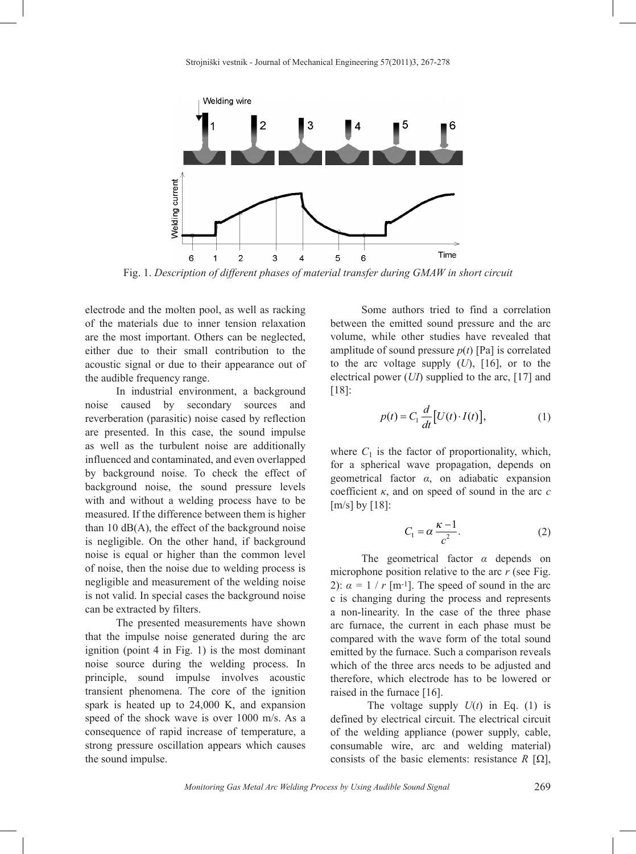

Fig. 1. *Description of different phases of material transfer during GMAW in short circuit*

electrode and the molten pool, as well as racking of the materials due to inner tension relaxation are the most important. Others can be neglected, either due to their small contribution to the acoustic signal or due to their appearance out of the audible frequency range.

In industrial environment, a background noise caused by secondary sources and reverberation (parasitic) noise cased by reflection are presented. In this case, the sound impulse as well as the turbulent noise are additionally influenced and contaminated, and even overlapped by background noise. To check the effect of background noise, the sound pressure levels with and without a welding process have to be measured. If the difference between them is higher than 10  $dB(A)$ , the effect of the background noise is negligible. On the other hand, if background noise is equal or higher than the common level of noise, then the noise due to welding process is negligible and measurement of the welding noise is not valid. In special cases the background noise can be extracted by filters.

The presented measurements have shown that the impulse noise generated during the arc ignition (point 4 in Fig. 1) is the most dominant noise source during the welding process. In principle, sound impulse involves acoustic transient phenomena. The core of the ignition spark is heated up to 24,000 K, and expansion speed of the shock wave is over 1000 m/s. As a consequence of rapid increase of temperature, a strong pressure oscillation appears which causes the sound impulse.

Some authors tried to find a correlation between the emitted sound pressure and the arc volume, while other studies have revealed that amplitude of sound pressure  $p(t)$  [Pa] is correlated to the arc voltage supply (*U*), [16], or to the electrical power (*UI*) supplied to the arc, [17] and [18]:

$$
p(t) = C_1 \frac{d}{dt} [U(t) \cdot I(t)], \qquad (1)
$$

where  $C_1$  is the factor of proportionality, which, for a spherical wave propagation, depends on geometrical factor *α*, on adiabatic expansion coefficient  $\kappa$ , and on speed of sound in the arc  $c$ [m/s] by [18]:

$$
C_1 = \alpha \frac{\kappa - 1}{c^2}.
$$
 (2)

The geometrical factor *α* depends on microphone position relative to the arc *r* (see Fig. 2):  $\alpha = 1 / r$  [m<sup>-1</sup>]. The speed of sound in the arc c is changing during the process and represents a non-linearity. In the case of the three phase arc furnace, the current in each phase must be compared with the wave form of the total sound emitted by the furnace. Such a comparison reveals which of the three arcs needs to be adjusted and therefore, which electrode has to be lowered or raised in the furnace [16].

The voltage supply  $U(t)$  in Eq. (1) is defined by electrical circuit. The electrical circuit of the welding appliance (power supply, cable, consumable wire, arc and welding material) consists of the basic elements: resistance  $R$  [ $\Omega$ ],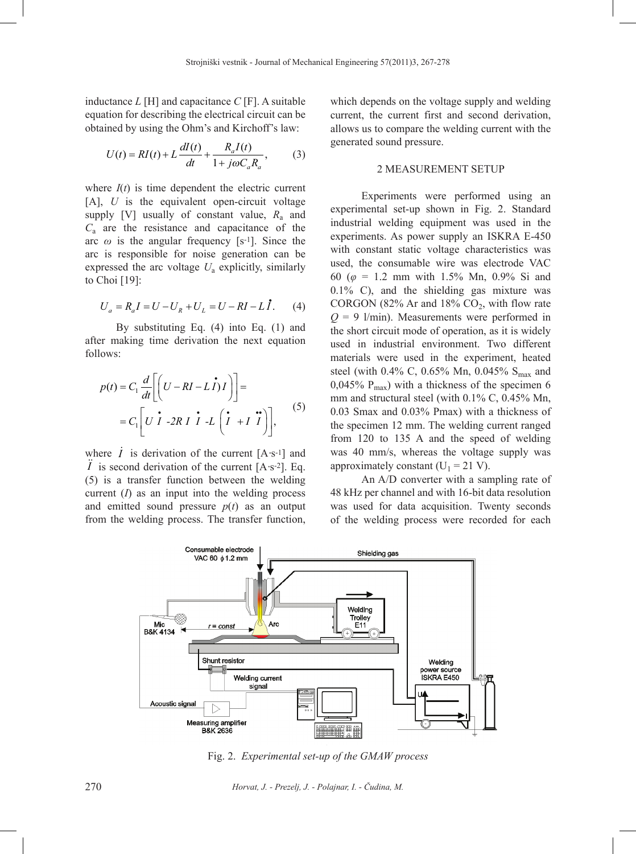inductance *L* [H] and capacitance *C* [F]. A suitable equation for describing the electrical circuit can be obtained by using the Ohm's and Kirchoff's law:

$$
U(t) = RI(t) + L\frac{dI(t)}{dt} + \frac{R_a I(t)}{1 + j\omega C_a R_a},
$$
 (3)

where  $I(t)$  is time dependent the electric current [A], *U* is the equivalent open-circuit voltage supply [V] usually of constant value,  $R_a$  and *C*a are the resistance and capacitance of the arc  $\omega$  is the angular frequency [s<sup>-1</sup>]. Since the arc is responsible for noise generation can be expressed the arc voltage *U*a explicitly, similarly to Choi [19]:

$$
U_a = R_a I = U - U_R + U_L = U - RI - L\dot{I}.
$$
 (4)

By substituting Eq. (4) into Eq. (1) and after making time derivation the next equation follows:

$$
p(t) = C_1 \frac{d}{dt} \left[ \left( U - RI - L\dot{I} \right) I \right] =
$$
  
=  $C_1 \left[ U\dot{I} - 2RI\dot{I} - L \left( \dot{I} + I\ddot{I} \right) \right],$  (5)

where  $\dot{I}$  is derivation of the current [A·s<sup>-1</sup>] and *I* is second derivation of the current  $[A·s^{-2}]$ . Eq. (5) is a transfer function between the welding current (*I*) as an input into the welding process and emitted sound pressure  $p(t)$  as an output from the welding process. The transfer function,

which depends on the voltage supply and welding current, the current first and second derivation, allows us to compare the welding current with the generated sound pressure.

#### 2 MEASUREMENT SETUP

Experiments were performed using an experimental set-up shown in Fig. 2. Standard industrial welding equipment was used in the experiments. As power supply an ISKRA E-450 with constant static voltage characteristics was used, the consumable wire was electrode VAC 60 (*φ* = 1.2 mm with 1.5% Mn, 0.9% Si and 0.1% C), and the shielding gas mixture was CORGON (82% Ar and 18%  $CO<sub>2</sub>$ , with flow rate  $Q = 9$  l/min). Measurements were performed in the short circuit mode of operation, as it is widely used in industrial environment. Two different materials were used in the experiment, heated steel (with 0.4% C, 0.65% Mn, 0.045%  $S_{\text{max}}$  and 0,045%  $P_{max}$ ) with a thickness of the specimen 6 mm and structural steel (with 0.1% C, 0.45% Mn, 0.03 Smax and 0.03% Pmax) with a thickness of the specimen 12 mm. The welding current ranged from 120 to 135 A and the speed of welding was 40 mm/s, whereas the voltage supply was approximately constant ( $U_1 = 21$  V).

An A/D converter with a sampling rate of 48 kHz per channel and with 16-bit data resolution was used for data acquisition. Twenty seconds of the welding process were recorded for each



Fig. 2. *Experimental set-up of the GMAW process*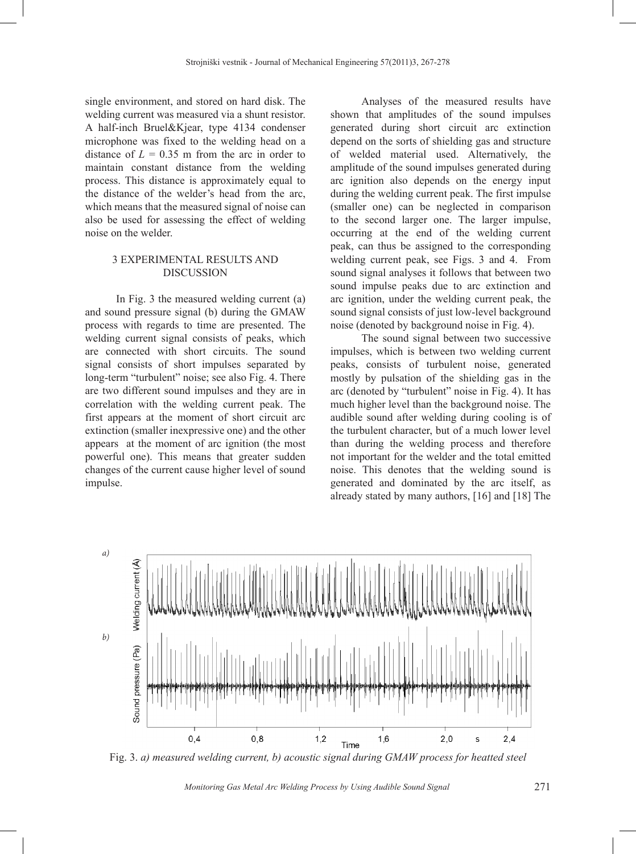single environment, and stored on hard disk. The welding current was measured via a shunt resistor. A half-inch Bruel&Kjear, type 4134 condenser microphone was fixed to the welding head on a distance of  $L = 0.35$  m from the arc in order to maintain constant distance from the welding process. This distance is approximately equal to the distance of the welder's head from the arc, which means that the measured signal of noise can also be used for assessing the effect of welding noise on the welder.

## 3 EXPERIMENTAL RESULTS AND DISCUSSION

In Fig. 3 the measured welding current (a) and sound pressure signal (b) during the GMAW process with regards to time are presented. The welding current signal consists of peaks, which are connected with short circuits. The sound signal consists of short impulses separated by long-term "turbulent" noise; see also Fig. 4. There are two different sound impulses and they are in correlation with the welding current peak. The first appears at the moment of short circuit arc extinction (smaller inexpressive one) and the other appears at the moment of arc ignition (the most powerful one). This means that greater sudden changes of the current cause higher level of sound impulse.

Analyses of the measured results have shown that amplitudes of the sound impulses generated during short circuit arc extinction depend on the sorts of shielding gas and structure of welded material used. Alternatively, the amplitude of the sound impulses generated during arc ignition also depends on the energy input during the welding current peak. The first impulse (smaller one) can be neglected in comparison to the second larger one. The larger impulse, occurring at the end of the welding current peak, can thus be assigned to the corresponding welding current peak, see Figs. 3 and 4. From sound signal analyses it follows that between two sound impulse peaks due to arc extinction and arc ignition, under the welding current peak, the sound signal consists of just low-level background noise (denoted by background noise in Fig. 4).

The sound signal between two successive impulses, which is between two welding current peaks, consists of turbulent noise, generated mostly by pulsation of the shielding gas in the arc (denoted by "turbulent" noise in Fig. 4). It has much higher level than the background noise. The audible sound after welding during cooling is of the turbulent character, but of a much lower level than during the welding process and therefore not important for the welder and the total emitted noise. This denotes that the welding sound is generated and dominated by the arc itself, as already stated by many authors, [16] and [18] The



Fig. 3. *a) measured welding current, b) acoustic signal during GMAW process for heatted steel*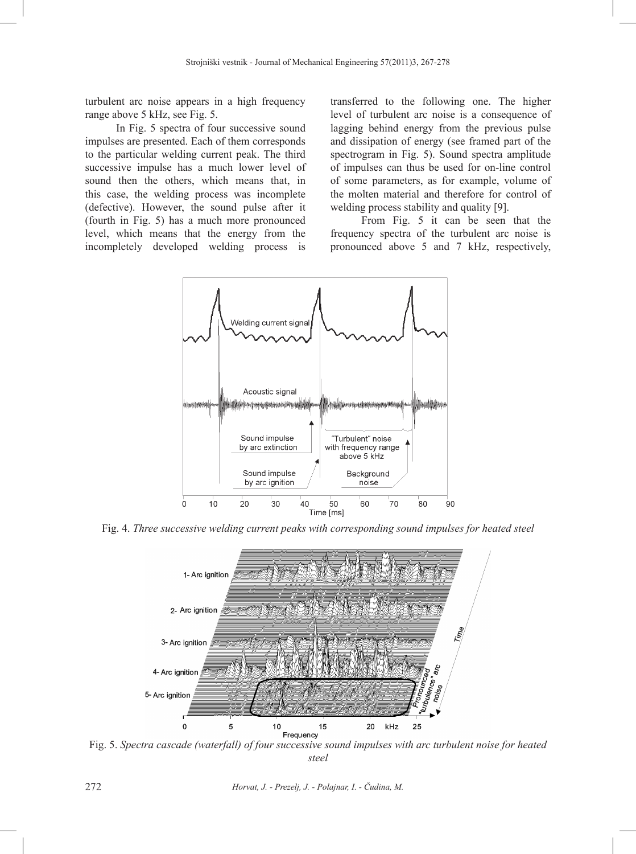turbulent arc noise appears in a high frequency range above 5 kHz, see Fig. 5.

In Fig. 5 spectra of four successive sound impulses are presented. Each of them corresponds to the particular welding current peak. The third successive impulse has a much lower level of sound then the others, which means that, in this case, the welding process was incomplete (defective). However, the sound pulse after it (fourth in Fig. 5) has a much more pronounced level, which means that the energy from the incompletely developed welding process is

transferred to the following one. The higher level of turbulent arc noise is a consequence of lagging behind energy from the previous pulse and dissipation of energy (see framed part of the spectrogram in Fig. 5). Sound spectra amplitude of impulses can thus be used for on-line control of some parameters, as for example, volume of the molten material and therefore for control of welding process stability and quality [9].

From Fig. 5 it can be seen that the frequency spectra of the turbulent arc noise is pronounced above 5 and 7 kHz, respectively,



Fig. 4. *Three successive welding current peaks with corresponding sound impulses for heated steel*



Fig. 5. *Spectra cascade (waterfall) of four successive sound impulses with arc turbulent noise for heated steel*

272 *Horvat, J. - Prezelj, J. - Polajnar, I. - Čudina, M.*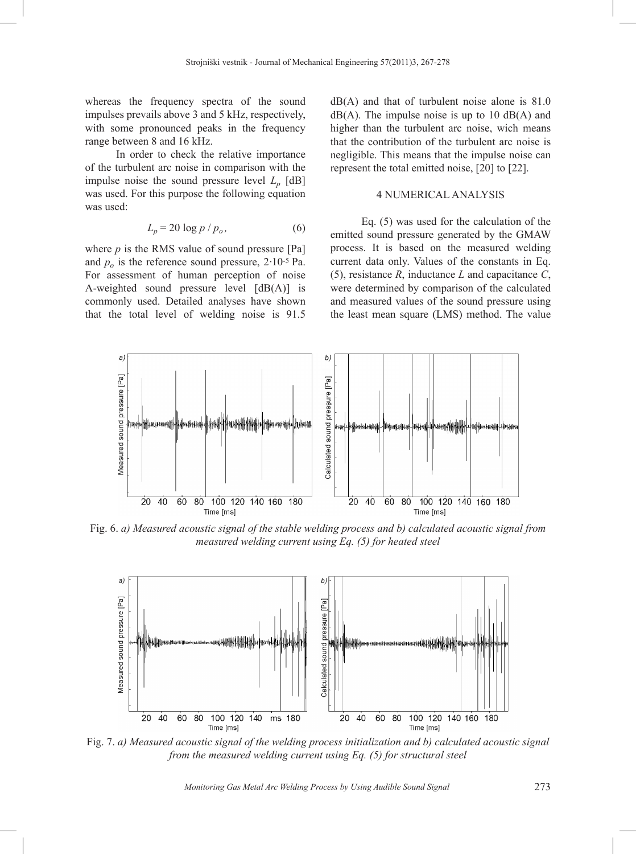whereas the frequency spectra of the sound impulses prevails above 3 and 5 kHz, respectively, with some pronounced peaks in the frequency range between 8 and 16 kHz.

In order to check the relative importance of the turbulent arc noise in comparison with the impulse noise the sound pressure level  $L_p$  [dB] was used. For this purpose the following equation was used:

$$
L_p = 20 \log p / p_o, \qquad (6)
$$

where  $p$  is the RMS value of sound pressure  $[Pa]$ and  $p<sub>o</sub>$  is the reference sound pressure,  $2 \cdot 10^{-5}$  Pa. For assessment of human perception of noise A-weighted sound pressure level  $[dB(A)]$  is commonly used. Detailed analyses have shown that the total level of welding noise is 91.5

 $dB(A)$  and that of turbulent noise alone is 81.0  $dB(A)$ . The impulse noise is up to 10  $dB(A)$  and higher than the turbulent arc noise, wich means that the contribution of the turbulent arc noise is negligible. This means that the impulse noise can represent the total emitted noise, [20] to [22].

#### 4 NUMERICAL ANALYSIS

Eq. (5) was used for the calculation of the emitted sound pressure generated by the GMAW process. It is based on the measured welding current data only. Values of the constants in Eq. (5), resistance *R*, inductance *L* and capacitance *C*, were determined by comparison of the calculated and measured values of the sound pressure using the least mean square (LMS) method. The value



Fig. 6. *a) Measured acoustic signal of the stable welding process and b) calculated acoustic signal from measured welding current using Eq. (5) for heated steel*



Fig. 7. *a) Measured acoustic signal of the welding process initialization and b) calculated acoustic signal from the measured welding current using Eq. (5) for structural steel*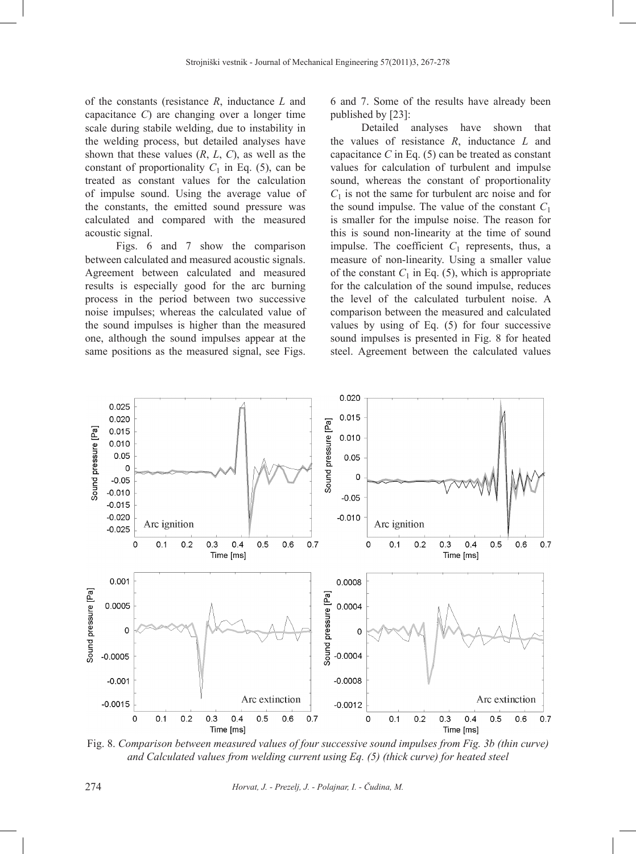of the constants (resistance *R*, inductance *L* and capacitance *C*) are changing over a longer time scale during stabile welding, due to instability in the welding process, but detailed analyses have shown that these values (*R*, *L*, *C*), as well as the constant of proportionality  $C_1$  in Eq. (5), can be treated as constant values for the calculation of impulse sound. Using the average value of the constants, the emitted sound pressure was calculated and compared with the measured acoustic signal.

Figs. 6 and 7 show the comparison between calculated and measured acoustic signals. Agreement between calculated and measured results is especially good for the arc burning process in the period between two successive noise impulses; whereas the calculated value of the sound impulses is higher than the measured one, although the sound impulses appear at the same positions as the measured signal, see Figs.

6 and 7. Some of the results have already been published by [23]:

Detailed analyses have shown that the values of resistance *R*, inductance *L* and capacitance  $C$  in Eq. (5) can be treated as constant values for calculation of turbulent and impulse sound, whereas the constant of proportionality  $C_1$  is not the same for turbulent arc noise and for the sound impulse. The value of the constant  $C_1$ is smaller for the impulse noise. The reason for this is sound non-linearity at the time of sound impulse. The coefficient  $C_1$  represents, thus, a measure of non-linearity. Using a smaller value of the constant  $C_1$  in Eq. (5), which is appropriate for the calculation of the sound impulse, reduces the level of the calculated turbulent noise. A comparison between the measured and calculated values by using of Eq. (5) for four successive sound impulses is presented in Fig. 8 for heated steel. Agreement between the calculated values



Fig. 8. *Comparison between measured values of four successive sound impulses from Fig. 3b (thin curve) and Calculated values from welding current using Eq. (5) (thick curve) for heated steel*

274 *Horvat, J. - Prezelj, J. - Polajnar, I. - Čudina, M.*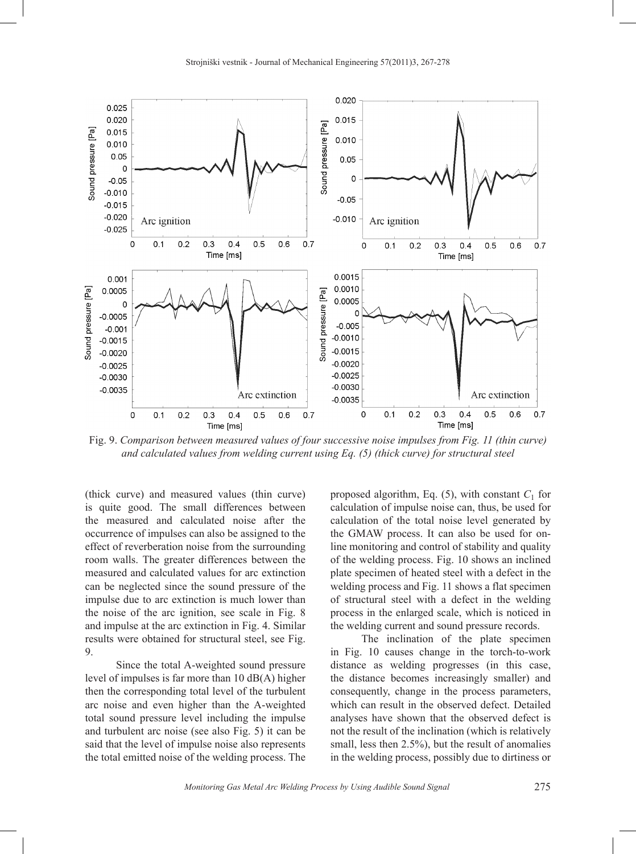

Fig. 9. *Comparison between measured values of four successive noise impulses from Fig. 11 (thin curve) and calculated values from welding current using Eq. (5) (thick curve) for structural steel*

(thick curve) and measured values (thin curve) is quite good. The small differences between the measured and calculated noise after the occurrence of impulses can also be assigned to the effect of reverberation noise from the surrounding room walls. The greater differences between the measured and calculated values for arc extinction can be neglected since the sound pressure of the impulse due to arc extinction is much lower than the noise of the arc ignition, see scale in Fig. 8 and impulse at the arc extinction in Fig. 4. Similar results were obtained for structural steel, see Fig. 9.

Since the total A-weighted sound pressure level of impulses is far more than 10 dB(A) higher then the corresponding total level of the turbulent arc noise and even higher than the A-weighted total sound pressure level including the impulse and turbulent arc noise (see also Fig. 5) it can be said that the level of impulse noise also represents the total emitted noise of the welding process. The

proposed algorithm, Eq.  $(5)$ , with constant  $C_1$  for calculation of impulse noise can, thus, be used for calculation of the total noise level generated by the GMAW process. It can also be used for online monitoring and control of stability and quality of the welding process. Fig. 10 shows an inclined plate specimen of heated steel with a defect in the welding process and Fig. 11 shows a flat specimen of structural steel with a defect in the welding process in the enlarged scale, which is noticed in the welding current and sound pressure records.

The inclination of the plate specimen in Fig. 10 causes change in the torch-to-work distance as welding progresses (in this case, the distance becomes increasingly smaller) and consequently, change in the process parameters, which can result in the observed defect. Detailed analyses have shown that the observed defect is not the result of the inclination (which is relatively small, less then 2.5%), but the result of anomalies in the welding process, possibly due to dirtiness or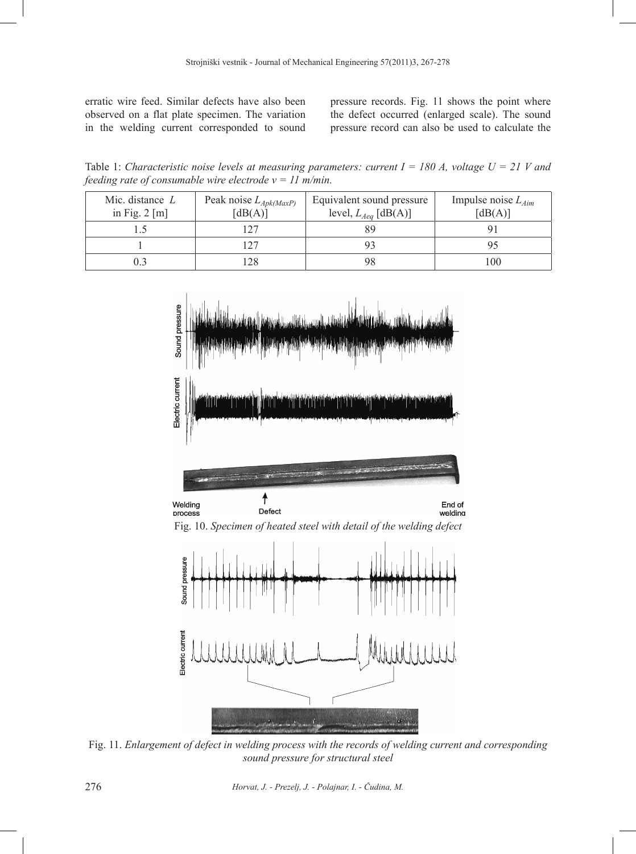erratic wire feed. Similar defects have also been observed on a flat plate specimen. The variation in the welding current corresponded to sound

pressure records. Fig. 11 shows the point where the defect occurred (enlarged scale). The sound pressure record can also be used to calculate the

Table 1: *Characteristic noise levels at measuring parameters: current I = 180 A, voltage U = 21 V and feeding rate of consumable wire electrode v = 11 m/min.*

| Mic. distance $L$<br>in Fig. $2 \lfloor m \rfloor$ | Peak noise $L_{Apk(MaxP)}$<br>$\lceil dB(A) \rceil$ | Equivalent sound pressure<br>level, $L_{Aeq}$ [dB(A)] | Impulse noise $L_{Aim}$<br>$\lceil dB(A) \rceil$ |
|----------------------------------------------------|-----------------------------------------------------|-------------------------------------------------------|--------------------------------------------------|
|                                                    | 1 2 7                                               | 89                                                    |                                                  |
|                                                    | 1 7 7                                               |                                                       |                                                  |
|                                                    | 128                                                 | 98                                                    | 100                                              |



Fig. 11. *Enlargement of defect in welding process with the records of welding current and corresponding sound pressure for structural steel*

276 *Horvat, J. - Prezelj, J. - Polajnar, I. - Čudina, M.*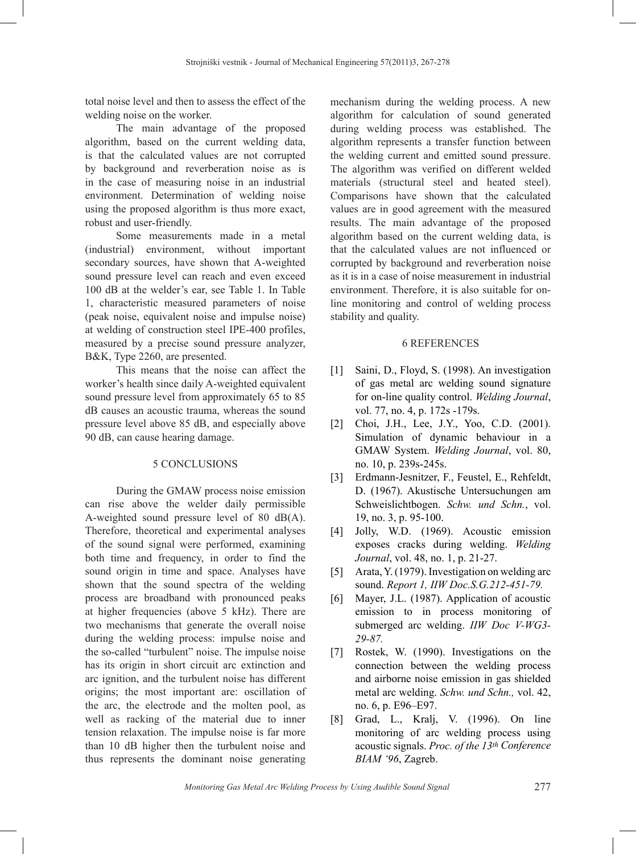total noise level and then to assess the effect of the welding noise on the worker.

The main advantage of the proposed algorithm, based on the current welding data, is that the calculated values are not corrupted by background and reverberation noise as is in the case of measuring noise in an industrial environment. Determination of welding noise using the proposed algorithm is thus more exact, robust and user-friendly.

Some measurements made in a metal (industrial) environment, without important secondary sources, have shown that A-weighted sound pressure level can reach and even exceed 100 dB at the welder's ear, see Table 1. In Table 1, characteristic measured parameters of noise (peak noise, equivalent noise and impulse noise) at welding of construction steel IPE-400 profiles, measured by a precise sound pressure analyzer, B&K, Type 2260, are presented.

This means that the noise can affect the worker's health since daily A-weighted equivalent sound pressure level from approximately 65 to 85 dB causes an acoustic trauma, whereas the sound pressure level above 85 dB, and especially above 90 dB, can cause hearing damage.

### 5 CONCLUSIONS

During the GMAW process noise emission can rise above the welder daily permissible A-weighted sound pressure level of 80 dB(A). Therefore, theoretical and experimental analyses of the sound signal were performed, examining both time and frequency, in order to find the sound origin in time and space. Analyses have shown that the sound spectra of the welding process are broadband with pronounced peaks at higher frequencies (above 5 kHz). There are two mechanisms that generate the overall noise during the welding process: impulse noise and the so-called "turbulent" noise. The impulse noise has its origin in short circuit arc extinction and arc ignition, and the turbulent noise has different origins; the most important are: oscillation of the arc, the electrode and the molten pool, as well as racking of the material due to inner tension relaxation. The impulse noise is far more than 10 dB higher then the turbulent noise and thus represents the dominant noise generating

mechanism during the welding process. A new algorithm for calculation of sound generated during welding process was established. The algorithm represents a transfer function between the welding current and emitted sound pressure. The algorithm was verified on different welded materials (structural steel and heated steel). Comparisons have shown that the calculated values are in good agreement with the measured results. The main advantage of the proposed algorithm based on the current welding data, is that the calculated values are not influenced or corrupted by background and reverberation noise as it is in a case of noise measurement in industrial environment. Therefore, it is also suitable for online monitoring and control of welding process stability and quality.

#### 6 REFERENCES

- [1] Saini, D., Floyd, S. (1998). An investigation of gas metal arc welding sound signature for on-line quality control. *Welding Journal*, vol. 77, no. 4, p. 172s -179s.
- [2] Choi, J.H., Lee, J.Y., Yoo, C.D. (2001). Simulation of dynamic behaviour in a GMAW System. *Welding Journal*, vol. 80, no. 10, p. 239s-245s.
- [3] Erdmann-Jesnitzer, F., Feustel, E., Rehfeldt, D. (1967). Akustische Untersuchungen am Schweislichtbogen. *Schw. und Schn.*, vol. 19, no. 3, p. 95-100.
- [4] Jolly, W.D. (1969). Acoustic emission exposes cracks during welding. *Welding Journal*, vol. 48, no. 1, p. 21-27.
- [5] Arata, Y. (1979). Investigation on welding arc sound. *Report 1, IIW Doc.S.G.212-451-79.*
- [6] Mayer, J.L. (1987). Application of acoustic emission to in process monitoring of submerged arc welding. *IIW Doc V-WG3- 29-87.*
- [7] Rostek, W. (1990). Investigations on the connection between the welding process and airborne noise emission in gas shielded metal arc welding. *Schw. und Schn.,* vol. 42, no. 6, p. E96–E97.
- [8] Grad, L., Kralj, V. (1996). On line monitoring of arc welding process using acoustic signals. *Proc. of the 13th Conference BIAM '96*, Zagreb.